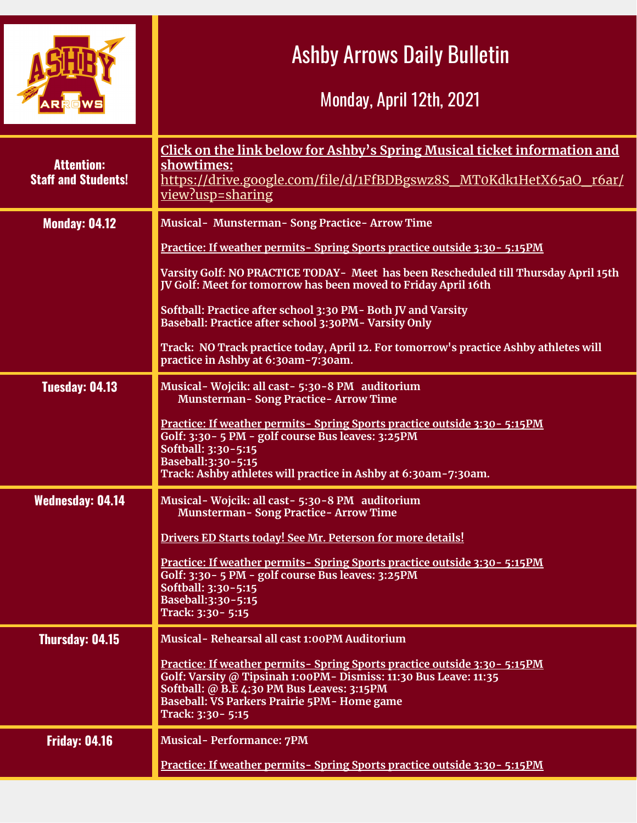|                                                 | <b>Ashby Arrows Daily Bulletin</b><br>Monday, April 12th, 2021                                                                                                                                                                                                                                                                                                                                                                                                                                                                                      |
|-------------------------------------------------|-----------------------------------------------------------------------------------------------------------------------------------------------------------------------------------------------------------------------------------------------------------------------------------------------------------------------------------------------------------------------------------------------------------------------------------------------------------------------------------------------------------------------------------------------------|
| <b>Attention:</b><br><b>Staff and Students!</b> | Click on the link below for Ashby's Spring Musical ticket information and<br>showtimes:<br>https://drive.google.com/file/d/1FfBDBgswz8S_MT0Kdk1HetX65aO_r6ar/<br>view?usp=sharing                                                                                                                                                                                                                                                                                                                                                                   |
| <b>Monday: 04.12</b>                            | Musical- Munsterman- Song Practice- Arrow Time<br><u>Practice: If weather permits-Spring Sports practice outside 3:30 - 5:15PM</u><br>Varsity Golf: NO PRACTICE TODAY- Meet has been Rescheduled till Thursday April 15th<br>JV Golf: Meet for tomorrow has been moved to Friday April 16th<br>Softball: Practice after school 3:30 PM- Both JV and Varsity<br>Baseball: Practice after school 3:30PM- Varsity Only<br>Track: NO Track practice today, April 12. For tomorrow's practice Ashby athletes will<br>practice in Ashby at 6:30am-7:30am. |
| Tuesday: 04.13                                  | Musical - Wojcik: all cast - 5:30-8 PM auditorium<br><b>Munsterman-Song Practice-Arrow Time</b><br><u>Practice: If weather permits-Spring Sports practice outside 3:30 - 5:15PM</u><br>Golf: 3:30 - 5 PM - golf course Bus leaves: 3:25PM<br>Softball: 3:30-5:15<br>Baseball: 3:30-5:15<br>Track: Ashby athletes will practice in Ashby at 6:30am-7:30am.                                                                                                                                                                                           |
| <b>Wednesday: 04.14</b>                         | Musical - Wojcik: all cast - 5:30-8 PM auditorium<br><b>Munsterman-Song Practice-Arrow Time</b><br>Drivers ED Starts today! See Mr. Peterson for more details!<br>Practice: If weather permits- Spring Sports practice outside 3:30 - 5:15PM<br>Golf: 3:30 - 5 PM - golf course Bus leaves: 3:25PM<br>Softball: 3:30-5:15<br>Baseball:3:30-5:15<br>Track: 3:30 - 5:15                                                                                                                                                                               |
| <b>Thursday: 04.15</b>                          | Musical-Rehearsal all cast 1:00PM Auditorium<br><u>Practice: If weather permits-Spring Sports practice outside 3:30-5:15PM</u><br>Golf: Varsity @ Tipsinah 1:00PM- Dismiss: 11:30 Bus Leave: 11:35<br>Softball: @ B.E 4:30 PM Bus Leaves: 3:15PM<br>Baseball: VS Parkers Prairie 5PM- Home game<br>Track: 3:30 - 5:15                                                                                                                                                                                                                               |
| <b>Friday: 04.16</b>                            | <b>Musical-Performance: 7PM</b><br><u>Practice: If weather permits-Spring Sports practice outside 3:30 - 5:15PM</u>                                                                                                                                                                                                                                                                                                                                                                                                                                 |